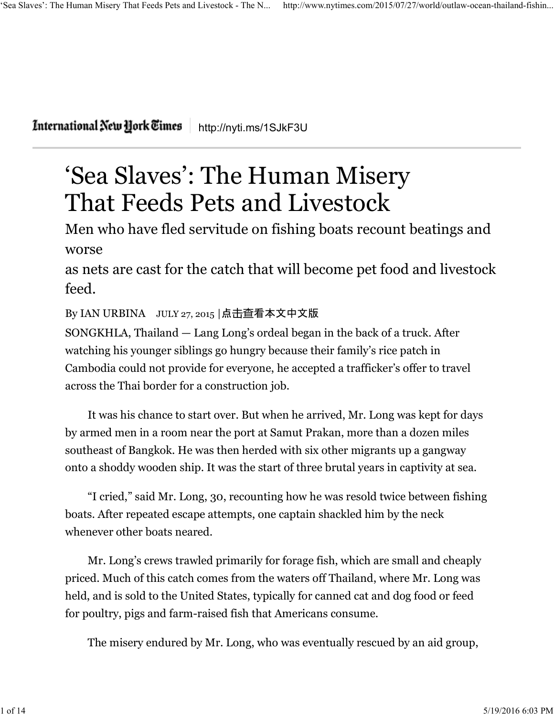#### International New Hork Times http://nyti.ms/1SJkF3U

## 'Sea Slaves': The Human Misery That Feeds Pets and Livestock

Men who have fled servitude on fishing boats recount beatings and worse

as nets are cast for the catch that will become pet food and livestock feed.

### By IAN URBINA JULY 27, 2015 |点击查看本文中文版

SONGKHLA, Thailand — Lang Long's ordeal began in the back of a truck. After watching his younger siblings go hungry because their family's rice patch in Cambodia could not provide for everyone, he accepted a trafficker's offer to travel across the Thai border for a construction job.

It was his chance to start over. But when he arrived, Mr. Long was kept for days by armed men in a room near the port at Samut Prakan, more than a dozen miles southeast of Bangkok. He was then herded with six other migrants up a gangway onto a shoddy wooden ship. It was the start of three brutal years in captivity at sea.

"I cried," said Mr. Long, 30, recounting how he was resold twice between fishing boats. After repeated escape attempts, one captain shackled him by the neck whenever other boats neared.

Mr. Long's crews trawled primarily for forage fish, which are small and cheaply priced. Much of this catch comes from the waters off Thailand, where Mr. Long was held, and is sold to the United States, typically for canned cat and dog food or feed for poultry, pigs and farm-raised fish that Americans consume. <sup>4</sup> 1 cried," said Mr. Long, 30, recounting how he was resold twice between fishing<br>boats. After repeated escape attempts, one captain shackled him by the neck<br>whenever other boats neared.<br>Mr. Long's crews trawled primari

The misery endured by Mr. Long, who was eventually rescued by an aid group,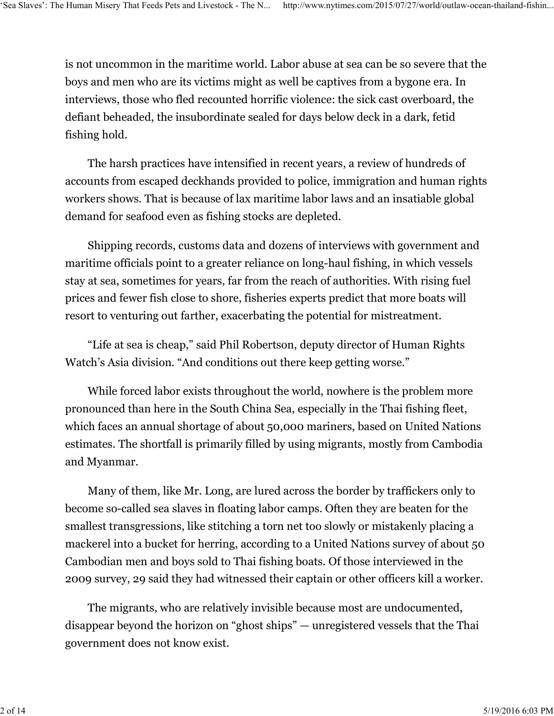is not uncommon in the maritime world. Labor abuse at sea can be so severe that the boys and men who are its victims might as well be captives from a bygone era. In interviews, those who fled recounted horrific violence: the sick cast overboard, the defiant beheaded, the insubordinate sealed for days below deck in a dark, fetid fishing hold. 'Sea Slaves': The Human Misery That Feeds Pets and Livestock - The N... http://www.nytimes.com/2015/07/27/world/outlaw-ocean-thailand-fishin...

> The harsh practices have intensified in recent years, a review of hundreds of accounts from escaped deckhands provided to police, immigration and human rights workers shows. That is because of lax maritime labor laws and an insatiable global demand for seafood even as fishing stocks are depleted.

Shipping records, customs data and dozens of interviews with government and maritime officials point to a greater reliance on long-haul fishing, in which vessels stay at sea, sometimes for years, far from the reach of authorities. With rising fuel prices and fewer fish close to shore, fisheries experts predict that more boats will resort to venturing out farther, exacerbating the potential for mistreatment.

"Life at sea is cheap," said Phil Robertson, deputy director of Human Rights Watch's Asia division. "And conditions out there keep getting worse."

While forced labor exists throughout the world, nowhere is the problem more pronounced than here in the South China Sea, especially in the Thai fishing fleet, which faces an annual shortage of about 50,000 mariners, based on United Nations estimates. The shortfall is primarily filled by using migrants, mostly from Cambodia and Myanmar.

Many of them, like Mr. Long, are lured across the border by traffickers only to become so-called sea slaves in floating labor camps. Often they are beaten for the smallest transgressions, like stitching a torn net too slowly or mistakenly placing a mackerel into a bucket for herring, according to a United Nations survey of about 50 Cambodian men and boys sold to Thai fishing boats. Of those interviewed in the 2009 survey, 29 said they had witnessed their captain or other officers kill a worker. Many of them, like Mr. Long, are lured across the border by traffickers only to<br>become so-called sea slaves in floating labor camps. Often they are beaten for the<br>smallest transgressions, like stitching a torn net too slo

The migrants, who are relatively invisible because most are undocumented, disappear beyond the horizon on "ghost ships" — unregistered vessels that the Thai government does not know exist.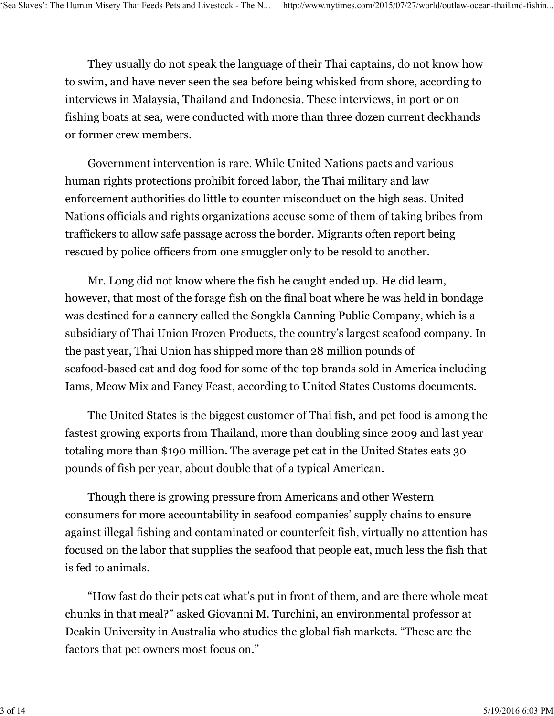They usually do not speak the language of their Thai captains, do not know how to swim, and have never seen the sea before being whisked from shore, according to interviews in Malaysia, Thailand and Indonesia. These interviews, in port or on fishing boats at sea, were conducted with more than three dozen current deckhands or former crew members. 'Sea Slaves': The Human Misery That Feeds Pets and Livestock - The N... http://www.nytimes.com/2015/07/27/world/outlaw-ocean-thailand-fishin...

> Government intervention is rare. While United Nations pacts and various human rights protections prohibit forced labor, the Thai military and law enforcement authorities do little to counter misconduct on the high seas. United Nations officials and rights organizations accuse some of them of taking bribes from traffickers to allow safe passage across the border. Migrants often report being rescued by police officers from one smuggler only to be resold to another.

> Mr. Long did not know where the fish he caught ended up. He did learn, however, that most of the forage fish on the final boat where he was held in bondage was destined for a cannery called the Songkla Canning Public Company, which is a subsidiary of Thai Union Frozen Products, the country's largest seafood company. In the past year, Thai Union has shipped more than 28 million pounds of seafood-based cat and dog food for some of the top brands sold in America including Iams, Meow Mix and Fancy Feast, according to United States Customs documents.

> The United States is the biggest customer of Thai fish, and pet food is among the fastest growing exports from Thailand, more than doubling since 2009 and last year totaling more than \$190 million. The average pet cat in the United States eats 30 pounds of fish per year, about double that of a typical American.

Though there is growing pressure from Americans and other Western consumers for more accountability in seafood companies' supply chains to ensure against illegal fishing and contaminated or counterfeit fish, virtually no attention has focused on the labor that supplies the seafood that people eat, much less the fish that is fed to animals. Though there is growing pressure from Americans and other Western<br>consumers for more accountability in seafood companies' supply chains to ensure<br>against illegal fishing and contaminated or counterfeit fish, virtually no a

"How fast do their pets eat what's put in front of them, and are there whole meat chunks in that meal?" asked Giovanni M. Turchini, an environmental professor at Deakin University in Australia who studies the global fish markets. "These are the factors that pet owners most focus on."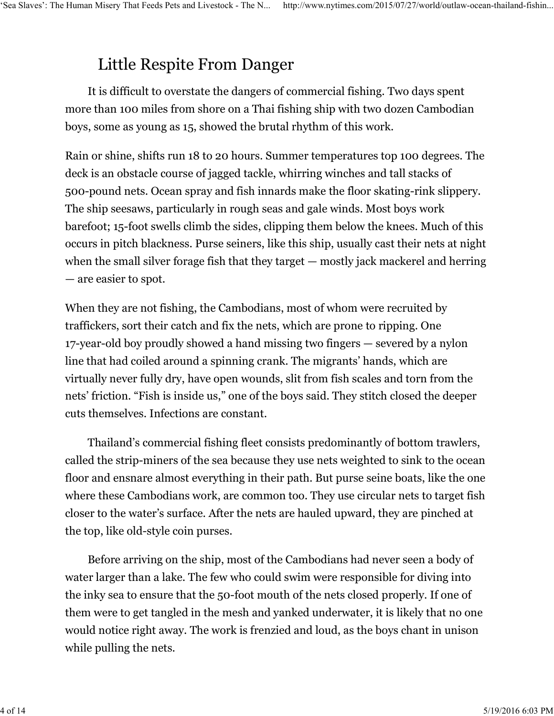## Little Respite From Danger

It is difficult to overstate the dangers of commercial fishing. Two days spent more than 100 miles from shore on a Thai fishing ship with two dozen Cambodian boys, some as young as 15, showed the brutal rhythm of this work.

Rain or shine, shifts run 18 to 20 hours. Summer temperatures top 100 degrees. The deck is an obstacle course of jagged tackle, whirring winches and tall stacks of 500-pound nets. Ocean spray and fish innards make the floor skating-rink slippery. The ship seesaws, particularly in rough seas and gale winds. Most boys work barefoot; 15-foot swells climb the sides, clipping them below the knees. Much of this occurs in pitch blackness. Purse seiners, like this ship, usually cast their nets at night when the small silver forage fish that they target — mostly jack mackerel and herring — are easier to spot.

When they are not fishing, the Cambodians, most of whom were recruited by traffickers, sort their catch and fix the nets, which are prone to ripping. One 17-year-old boy proudly showed a hand missing two fingers — severed by a nylon line that had coiled around a spinning crank. The migrants' hands, which are virtually never fully dry, have open wounds, slit from fish scales and torn from the nets' friction. "Fish is inside us," one of the boys said. They stitch closed the deeper cuts themselves. Infections are constant.

Thailand's commercial fishing fleet consists predominantly of bottom trawlers, called the strip-miners of the sea because they use nets weighted to sink to the ocean floor and ensnare almost everything in their path. But purse seine boats, like the one where these Cambodians work, are common too. They use circular nets to target fish closer to the water's surface. After the nets are hauled upward, they are pinched at the top, like old-style coin purses.

Before arriving on the ship, most of the Cambodians had never seen a body of water larger than a lake. The few who could swim were responsible for diving into the inky sea to ensure that the 50-foot mouth of the nets closed properly. If one of them were to get tangled in the mesh and yanked underwater, it is likely that no one would notice right away. The work is frenzied and loud, as the boys chant in unison while pulling the nets. floor and ensnare almost everything in their path. But purse seine boats, like the one<br>where these Cambodians work, are common too. They use circular nets to target fish<br>closer to the water's surface. After the nets are ha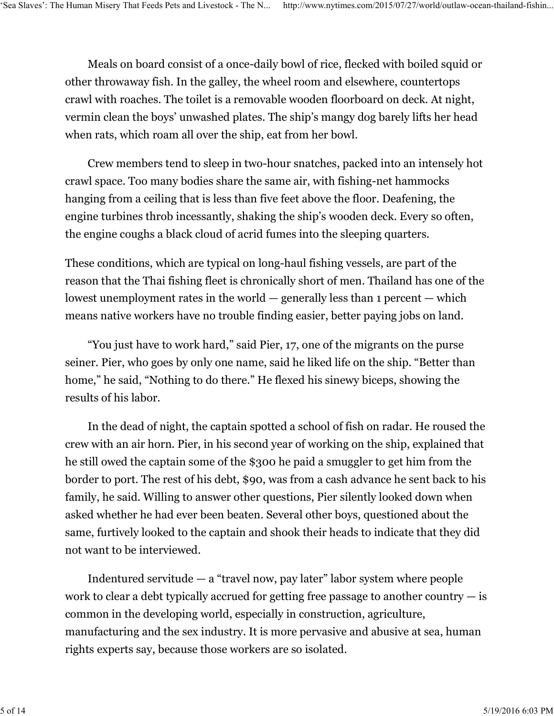Meals on board consist of a once-daily bowl of rice, flecked with boiled squid or other throwaway fish. In the galley, the wheel room and elsewhere, countertops crawl with roaches. The toilet is a removable wooden floorboard on deck. At night, vermin clean the boys' unwashed plates. The ship's mangy dog barely lifts her head when rats, which roam all over the ship, eat from her bowl. 'Sea Slaves': The Human Misery That Feeds Pets and Livestock - The N... http://www.nytimes.com/2015/07/27/world/outlaw-ocean-thailand-fishin...

> Crew members tend to sleep in two-hour snatches, packed into an intensely hot crawl space. Too many bodies share the same air, with fishing-net hammocks hanging from a ceiling that is less than five feet above the floor. Deafening, the engine turbines throb incessantly, shaking the ship's wooden deck. Every so often, the engine coughs a black cloud of acrid fumes into the sleeping quarters.

> These conditions, which are typical on long-haul fishing vessels, are part of the reason that the Thai fishing fleet is chronically short of men. Thailand has one of the lowest unemployment rates in the world — generally less than 1 percent — which means native workers have no trouble finding easier, better paying jobs on land.

"You just have to work hard," said Pier, 17, one of the migrants on the purse seiner. Pier, who goes by only one name, said he liked life on the ship. "Better than home," he said, "Nothing to do there." He flexed his sinewy biceps, showing the results of his labor.

In the dead of night, the captain spotted a school of fish on radar. He roused the crew with an air horn. Pier, in his second year of working on the ship, explained that he still owed the captain some of the \$300 he paid a smuggler to get him from the border to port. The rest of his debt, \$90, was from a cash advance he sent back to his family, he said. Willing to answer other questions, Pier silently looked down when asked whether he had ever been beaten. Several other boys, questioned about the same, furtively looked to the captain and shook their heads to indicate that they did not want to be interviewed.

Indentured servitude  $-$  a "travel now, pay later" labor system where people work to clear a debt typically accrued for getting free passage to another country  $-$  is common in the developing world, especially in construction, agriculture, manufacturing and the sex industry. It is more pervasive and abusive at sea, human rights experts say, because those workers are so isolated. border to port. The rest of his debt, \$90, was from a cash advance he sent back to his family, he said. Willing to answer other questions, Pier silently looked down when asked whether he had ever been beaten. Several othe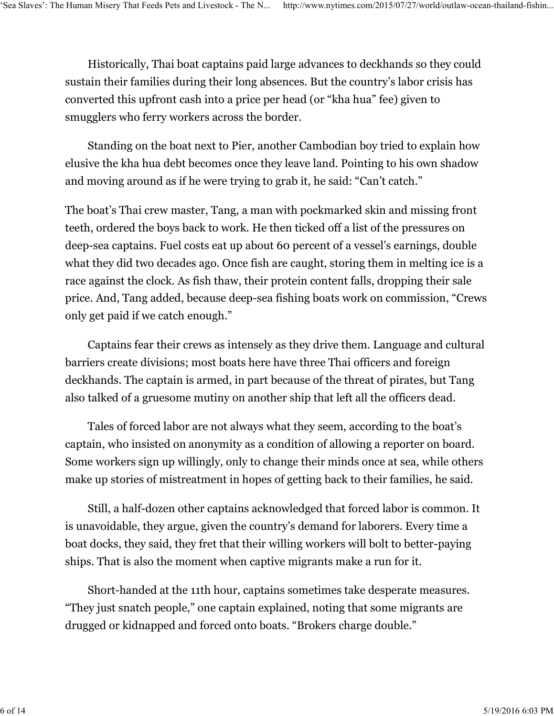Historically, Thai boat captains paid large advances to deckhands so they could sustain their families during their long absences. But the country's labor crisis has converted this upfront cash into a price per head (or "kha hua" fee) given to smugglers who ferry workers across the border. 'Sea Slaves': The Human Misery That Feeds Pets and Livestock - The N... http://www.nytimes.com/2015/07/27/world/outlaw-ocean-thailand-fishin...

> Standing on the boat next to Pier, another Cambodian boy tried to explain how elusive the kha hua debt becomes once they leave land. Pointing to his own shadow and moving around as if he were trying to grab it, he said: "Can't catch."

The boat's Thai crew master, Tang, a man with pockmarked skin and missing front teeth, ordered the boys back to work. He then ticked off a list of the pressures on deep-sea captains. Fuel costs eat up about 60 percent of a vessel's earnings, double what they did two decades ago. Once fish are caught, storing them in melting ice is a race against the clock. As fish thaw, their protein content falls, dropping their sale price. And, Tang added, because deep-sea fishing boats work on commission, "Crews only get paid if we catch enough."

Captains fear their crews as intensely as they drive them. Language and cultural barriers create divisions; most boats here have three Thai officers and foreign deckhands. The captain is armed, in part because of the threat of pirates, but Tang also talked of a gruesome mutiny on another ship that left all the officers dead.

Tales of forced labor are not always what they seem, according to the boat's captain, who insisted on anonymity as a condition of allowing a reporter on board. Some workers sign up willingly, only to change their minds once at sea, while others make up stories of mistreatment in hopes of getting back to their families, he said.

Still, a half-dozen other captains acknowledged that forced labor is common. It is unavoidable, they argue, given the country's demand for laborers. Every time a boat docks, they said, they fret that their willing workers will bolt to better-paying ships. That is also the moment when captive migrants make a run for it. make up stories of mistreatment in hopes of getting back to their families, he said.<br>
Still, a half-dozen other captains acknowledged that forced labor is common. It<br>
is unavoidable, they argue, given the country's demand

Short-handed at the 11th hour, captains sometimes take desperate measures. "They just snatch people," one captain explained, noting that some migrants are drugged or kidnapped and forced onto boats. "Brokers charge double."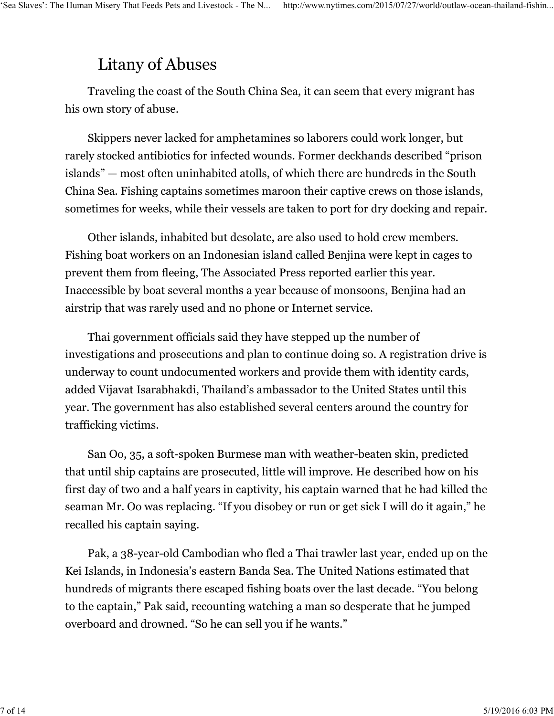### Litany of Abuses

Traveling the coast of the South China Sea, it can seem that every migrant has his own story of abuse.

Skippers never lacked for amphetamines so laborers could work longer, but rarely stocked antibiotics for infected wounds. Former deckhands described "prison islands" — most often uninhabited atolls, of which there are hundreds in the South China Sea. Fishing captains sometimes maroon their captive crews on those islands, sometimes for weeks, while their vessels are taken to port for dry docking and repair.

Other islands, inhabited but desolate, are also used to hold crew members. Fishing boat workers on an Indonesian island called Benjina were kept in cages to prevent them from fleeing, The Associated Press reported earlier this year. Inaccessible by boat several months a year because of monsoons, Benjina had an airstrip that was rarely used and no phone or Internet service.

Thai government officials said they have stepped up the number of investigations and prosecutions and plan to continue doing so. A registration drive is underway to count undocumented workers and provide them with identity cards, added Vijavat Isarabhakdi, Thailand's ambassador to the United States until this year. The government has also established several centers around the country for trafficking victims.

San Oo, 35, a soft-spoken Burmese man with weather-beaten skin, predicted that until ship captains are prosecuted, little will improve. He described how on his first day of two and a half years in captivity, his captain warned that he had killed the seaman Mr. Oo was replacing. "If you disobey or run or get sick I will do it again," he recalled his captain saying.

Pak, a 38-year-old Cambodian who fled a Thai trawler last year, ended up on the Kei Islands, in Indonesia's eastern Banda Sea. The United Nations estimated that hundreds of migrants there escaped fishing boats over the last decade. "You belong to the captain," Pak said, recounting watching a man so desperate that he jumped overboard and drowned. "So he can sell you if he wants." first day of two and a half years in captivity, his captain warned that he had killed the seaman Mr. Oo was replacing, "If you disobey or run or get sick I will do it again," he recalled his captain saying.<br>
Pak, a 38-year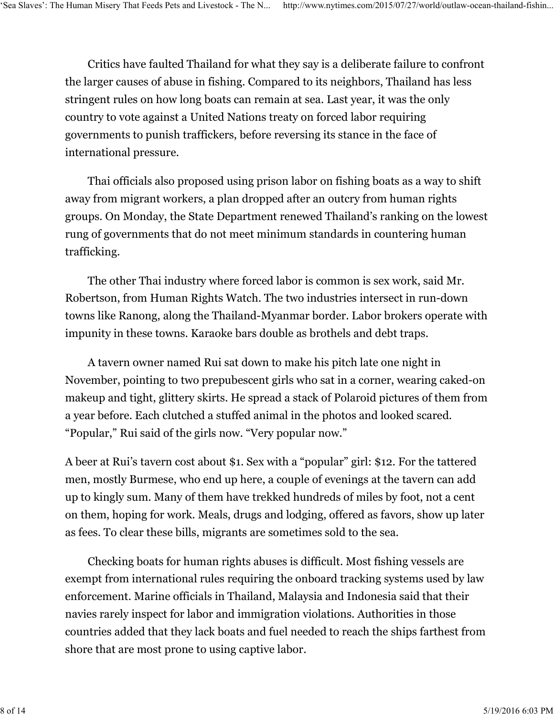Critics have faulted Thailand for what they say is a deliberate failure to confront the larger causes of abuse in fishing. Compared to its neighbors, Thailand has less stringent rules on how long boats can remain at sea. Last year, it was the only country to vote against a United Nations treaty on forced labor requiring governments to punish traffickers, before reversing its stance in the face of international pressure. 'Sea Slaves': The Human Misery That Feeds Pets and Livestock - The N... http://www.nytimes.com/2015/07/27/world/outlaw-ocean-thailand-fishin...

> Thai officials also proposed using prison labor on fishing boats as a way to shift away from migrant workers, a plan dropped after an outcry from human rights groups. On Monday, the State Department renewed Thailand's ranking on the lowest rung of governments that do not meet minimum standards in countering human trafficking.

> The other Thai industry where forced labor is common is sex work, said Mr. Robertson, from Human Rights Watch. The two industries intersect in run-down towns like Ranong, along the Thailand-Myanmar border. Labor brokers operate with impunity in these towns. Karaoke bars double as brothels and debt traps.

> A tavern owner named Rui sat down to make his pitch late one night in November, pointing to two prepubescent girls who sat in a corner, wearing caked-on makeup and tight, glittery skirts. He spread a stack of Polaroid pictures of them from a year before. Each clutched a stuffed animal in the photos and looked scared. "Popular," Rui said of the girls now. "Very popular now."

> A beer at Rui's tavern cost about \$1. Sex with a "popular" girl: \$12. For the tattered men, mostly Burmese, who end up here, a couple of evenings at the tavern can add up to kingly sum. Many of them have trekked hundreds of miles by foot, not a cent on them, hoping for work. Meals, drugs and lodging, offered as favors, show up later as fees. To clear these bills, migrants are sometimes sold to the sea.

Checking boats for human rights abuses is difficult. Most fishing vessels are exempt from international rules requiring the onboard tracking systems used by law enforcement. Marine officials in Thailand, Malaysia and Indonesia said that their navies rarely inspect for labor and immigration violations. Authorities in those countries added that they lack boats and fuel needed to reach the ships farthest from shore that are most prone to using captive labor. men, mostly Burmese, who end up here, a couple of evenings at the tavern can add<br>up to kingly sum. Many of them have trekked hundreds of miles by foot, not a cent<br>on them, hoping for work. Meals, drugs and lodging, offered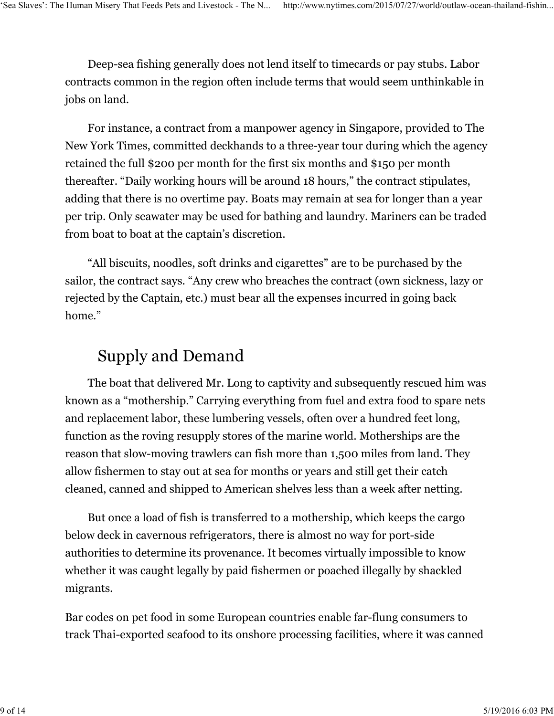Deep-sea fishing generally does not lend itself to timecards or pay stubs. Labor contracts common in the region often include terms that would seem unthinkable in jobs on land. 'Sea Slaves': The Human Misery That Feeds Pets and Livestock - The N... http://www.nytimes.com/2015/07/27/world/outlaw-ocean-thailand-fishin...

> For instance, a contract from a manpower agency in Singapore, provided to The New York Times, committed deckhands to a three-year tour during which the agency retained the full \$200 per month for the first six months and \$150 per month thereafter. "Daily working hours will be around 18 hours," the contract stipulates, adding that there is no overtime pay. Boats may remain at sea for longer than a year per trip. Only seawater may be used for bathing and laundry. Mariners can be traded from boat to boat at the captain's discretion.

"All biscuits, noodles, soft drinks and cigarettes" are to be purchased by the sailor, the contract says. "Any crew who breaches the contract (own sickness, lazy or rejected by the Captain, etc.) must bear all the expenses incurred in going back home."

## Supply and Demand

The boat that delivered Mr. Long to captivity and subsequently rescued him was known as a "mothership." Carrying everything from fuel and extra food to spare nets and replacement labor, these lumbering vessels, often over a hundred feet long, function as the roving resupply stores of the marine world. Motherships are the reason that slow-moving trawlers can fish more than 1,500 miles from land. They allow fishermen to stay out at sea for months or years and still get their catch cleaned, canned and shipped to American shelves less than a week after netting.

But once a load of fish is transferred to a mothership, which keeps the cargo below deck in cavernous refrigerators, there is almost no way for port-side authorities to determine its provenance. It becomes virtually impossible to know whether it was caught legally by paid fishermen or poached illegally by shackled migrants. cleaned, canned and shipped to American shelves less than a week after netting.<br>But once a load of fish is transferred to a mothership, which keeps the cargo<br>below deck in cavernous refrigerators, there is almost no way f

Bar codes on pet food in some European countries enable far-flung consumers to track Thai-exported seafood to its onshore processing facilities, where it was canned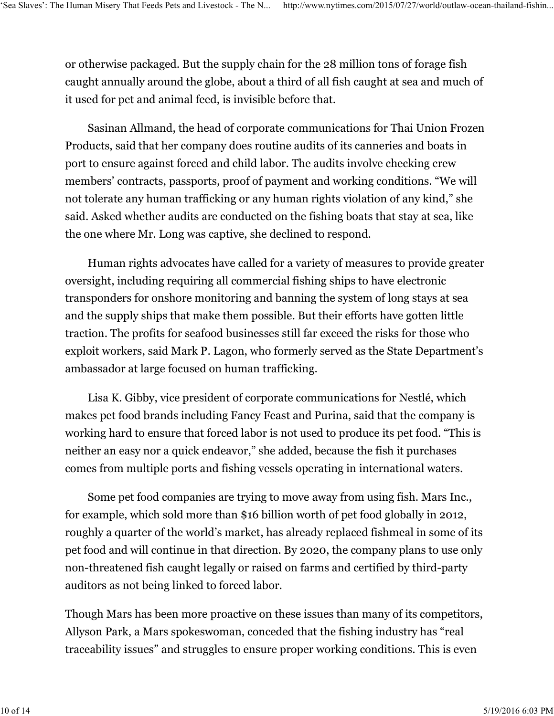or otherwise packaged. But the supply chain for the 28 million tons of forage fish caught annually around the globe, about a third of all fish caught at sea and much of it used for pet and animal feed, is invisible before that. 'Sea Slaves': The Human Misery That Feeds Pets and Livestock - The N... http://www.nytimes.com/2015/07/27/world/outlaw-ocean-thailand-fishin...

> Sasinan Allmand, the head of corporate communications for Thai Union Frozen Products, said that her company does routine audits of its canneries and boats in port to ensure against forced and child labor. The audits involve checking crew members' contracts, passports, proof of payment and working conditions. "We will not tolerate any human trafficking or any human rights violation of any kind," she said. Asked whether audits are conducted on the fishing boats that stay at sea, like the one where Mr. Long was captive, she declined to respond.

> Human rights advocates have called for a variety of measures to provide greater oversight, including requiring all commercial fishing ships to have electronic transponders for onshore monitoring and banning the system of long stays at sea and the supply ships that make them possible. But their efforts have gotten little traction. The profits for seafood businesses still far exceed the risks for those who exploit workers, said Mark P. Lagon, who formerly served as the State Department's ambassador at large focused on human trafficking.

Lisa K. Gibby, vice president of corporate communications for Nestlé, which makes pet food brands including Fancy Feast and Purina, said that the company is working hard to ensure that forced labor is not used to produce its pet food. "This is neither an easy nor a quick endeavor," she added, because the fish it purchases comes from multiple ports and fishing vessels operating in international waters.

Some pet food companies are trying to move away from using fish. Mars Inc., for example, which sold more than \$16 billion worth of pet food globally in 2012, roughly a quarter of the world's market, has already replaced fishmeal in some of its pet food and will continue in that direction. By 2020, the company plans to use only non-threatened fish caught legally or raised on farms and certified by third-party auditors as not being linked to forced labor. Some pet food companies are trying to move away from using fish. Mars Inc.,<br>for example, which sold more than \$16 billion worth of pet food globally in 2012,<br>roughly a quarter of the world's market, has already replaced f

Though Mars has been more proactive on these issues than many of its competitors, Allyson Park, a Mars spokeswoman, conceded that the fishing industry has "real traceability issues" and struggles to ensure proper working conditions. This is even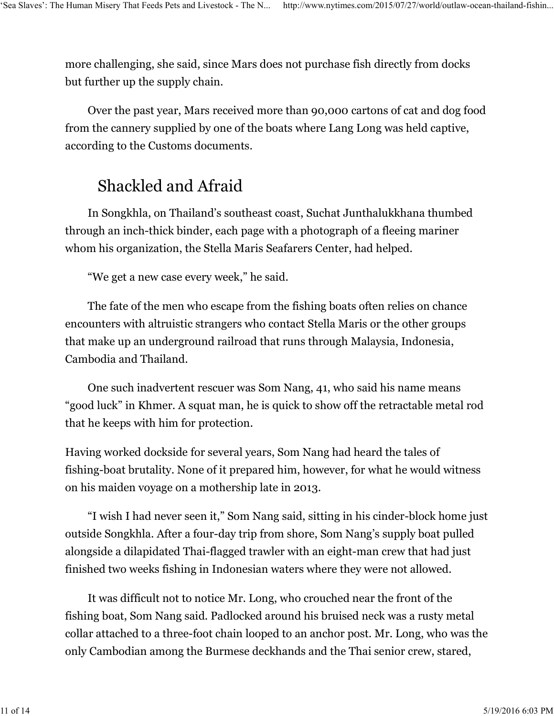more challenging, she said, since Mars does not purchase fish directly from docks but further up the supply chain. 'Sea Slaves': The Human Misery That Feeds Pets and Livestock - The N... http://www.nytimes.com/2015/07/27/world/outlaw-ocean-thailand-fishin...

> Over the past year, Mars received more than 90,000 cartons of cat and dog food from the cannery supplied by one of the boats where Lang Long was held captive, according to the Customs documents.

## Shackled and Afraid

In Songkhla, on Thailand's southeast coast, Suchat Junthalukkhana thumbed through an inch-thick binder, each page with a photograph of a fleeing mariner whom his organization, the Stella Maris Seafarers Center, had helped.

"We get a new case every week," he said.

The fate of the men who escape from the fishing boats often relies on chance encounters with altruistic strangers who contact Stella Maris or the other groups that make up an underground railroad that runs through Malaysia, Indonesia, Cambodia and Thailand.

One such inadvertent rescuer was Som Nang, 41, who said his name means "good luck" in Khmer. A squat man, he is quick to show off the retractable metal rod that he keeps with him for protection.

Having worked dockside for several years, Som Nang had heard the tales of fishing-boat brutality. None of it prepared him, however, for what he would witness on his maiden voyage on a mothership late in 2013.

"I wish I had never seen it," Som Nang said, sitting in his cinder-block home just outside Songkhla. After a four-day trip from shore, Som Nang's supply boat pulled alongside a dilapidated Thai-flagged trawler with an eight-man crew that had just finished two weeks fishing in Indonesian waters where they were not allowed. on his maiden voyage on a mothership late in 2013.<br>
"I wish I had never seen it," Som Nang said, sitting in his cinder-block home just<br>
outside Songkhla. After a four-day trip from shore, Som Nang's supply boat pulled<br>
alo

It was difficult not to notice Mr. Long, who crouched near the front of the fishing boat, Som Nang said. Padlocked around his bruised neck was a rusty metal collar attached to a three-foot chain looped to an anchor post. Mr. Long, who was the only Cambodian among the Burmese deckhands and the Thai senior crew, stared,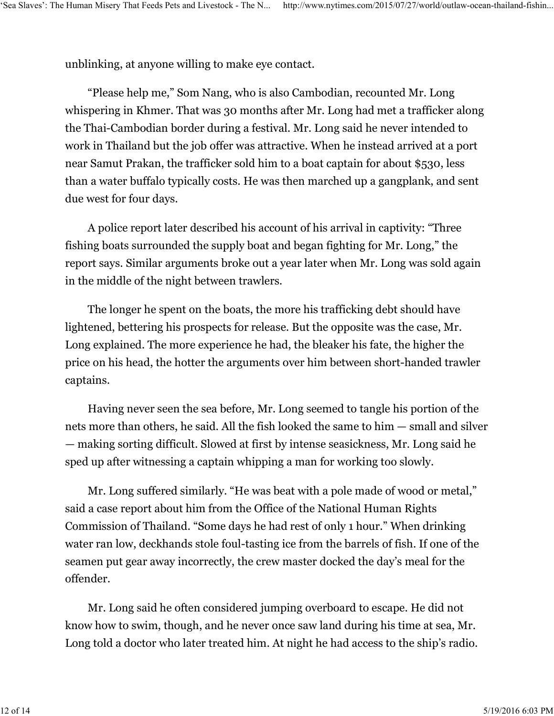unblinking, at anyone willing to make eye contact.

"Please help me," Som Nang, who is also Cambodian, recounted Mr. Long whispering in Khmer. That was 30 months after Mr. Long had met a trafficker along the Thai-Cambodian border during a festival. Mr. Long said he never intended to work in Thailand but the job offer was attractive. When he instead arrived at a port near Samut Prakan, the trafficker sold him to a boat captain for about \$530, less than a water buffalo typically costs. He was then marched up a gangplank, and sent due west for four days.

A police report later described his account of his arrival in captivity: "Three fishing boats surrounded the supply boat and began fighting for Mr. Long," the report says. Similar arguments broke out a year later when Mr. Long was sold again in the middle of the night between trawlers.

The longer he spent on the boats, the more his trafficking debt should have lightened, bettering his prospects for release. But the opposite was the case, Mr. Long explained. The more experience he had, the bleaker his fate, the higher the price on his head, the hotter the arguments over him between short-handed trawler captains.

Having never seen the sea before, Mr. Long seemed to tangle his portion of the nets more than others, he said. All the fish looked the same to him — small and silver — making sorting difficult. Slowed at first by intense seasickness, Mr. Long said he sped up after witnessing a captain whipping a man for working too slowly.

Mr. Long suffered similarly. "He was beat with a pole made of wood or metal," said a case report about him from the Office of the National Human Rights Commission of Thailand. "Some days he had rest of only 1 hour." When drinking water ran low, deckhands stole foul-tasting ice from the barrels of fish. If one of the seamen put gear away incorrectly, the crew master docked the day's meal for the offender. Mr. Long suffered similarly, "He was beat with a pole made of wood or metal,"<br>said a case report about him from the Office of the National Human Rights<br>Commission of Thailand. "Some days he had rest of only 1 hour." When d

Mr. Long said he often considered jumping overboard to escape. He did not know how to swim, though, and he never once saw land during his time at sea, Mr. Long told a doctor who later treated him. At night he had access to the ship's radio.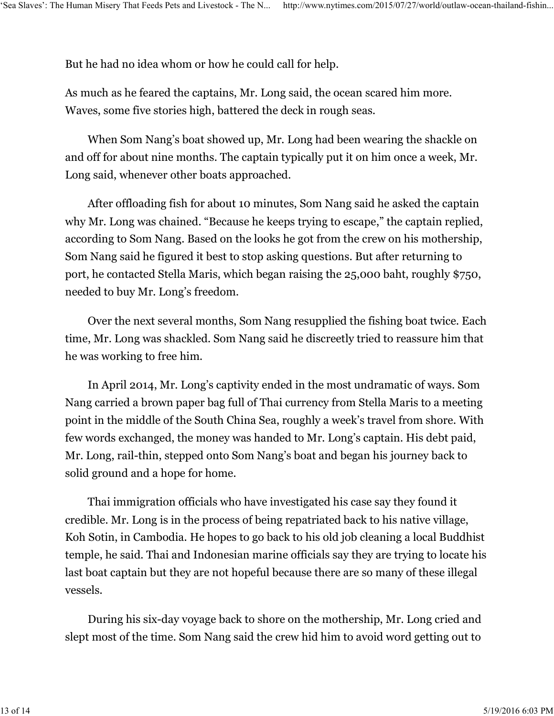But he had no idea whom or how he could call for help.

As much as he feared the captains, Mr. Long said, the ocean scared him more. Waves, some five stories high, battered the deck in rough seas.

When Som Nang's boat showed up, Mr. Long had been wearing the shackle on and off for about nine months. The captain typically put it on him once a week, Mr. Long said, whenever other boats approached.

After offloading fish for about 10 minutes, Som Nang said he asked the captain why Mr. Long was chained. "Because he keeps trying to escape," the captain replied, according to Som Nang. Based on the looks he got from the crew on his mothership, Som Nang said he figured it best to stop asking questions. But after returning to port, he contacted Stella Maris, which began raising the 25,000 baht, roughly \$750, needed to buy Mr. Long's freedom.

Over the next several months, Som Nang resupplied the fishing boat twice. Each time, Mr. Long was shackled. Som Nang said he discreetly tried to reassure him that he was working to free him.

In April 2014, Mr. Long's captivity ended in the most undramatic of ways. Som Nang carried a brown paper bag full of Thai currency from Stella Maris to a meeting point in the middle of the South China Sea, roughly a week's travel from shore. With few words exchanged, the money was handed to Mr. Long's captain. His debt paid, Mr. Long, rail-thin, stepped onto Som Nang's boat and began his journey back to solid ground and a hope for home.

Thai immigration officials who have investigated his case say they found it credible. Mr. Long is in the process of being repatriated back to his native village, Koh Sotin, in Cambodia. He hopes to go back to his old job cleaning a local Buddhist temple, he said. Thai and Indonesian marine officials say they are trying to locate his last boat captain but they are not hopeful because there are so many of these illegal vessels. Thai immigration officials who have investigated his case say they found it<br>credible. Mr. Long is in the process of being repatriated back to his native village,<br>Koh Sotin, in Cambodia. He hopes to go back to his old job c

During his six-day voyage back to shore on the mothership, Mr. Long cried and slept most of the time. Som Nang said the crew hid him to avoid word getting out to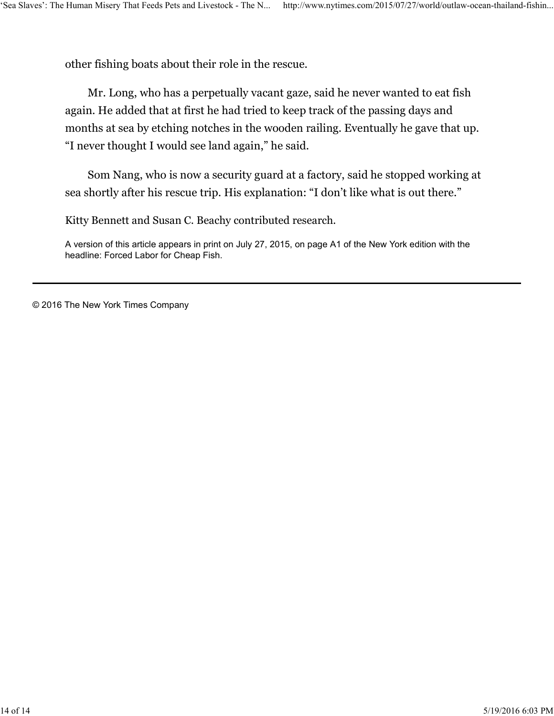other fishing boats about their role in the rescue.

Mr. Long, who has a perpetually vacant gaze, said he never wanted to eat fish again. He added that at first he had tried to keep track of the passing days and months at sea by etching notches in the wooden railing. Eventually he gave that up. "I never thought I would see land again," he said.

Som Nang, who is now a security guard at a factory, said he stopped working at sea shortly after his rescue trip. His explanation: "I don't like what is out there."

Kitty Bennett and Susan C. Beachy contributed research.

A version of this article appears in print on July 27, 2015, on page A1 of the New York edition with the headline: Forced Labor for Cheap Fish.

© 2016 The New York Times Company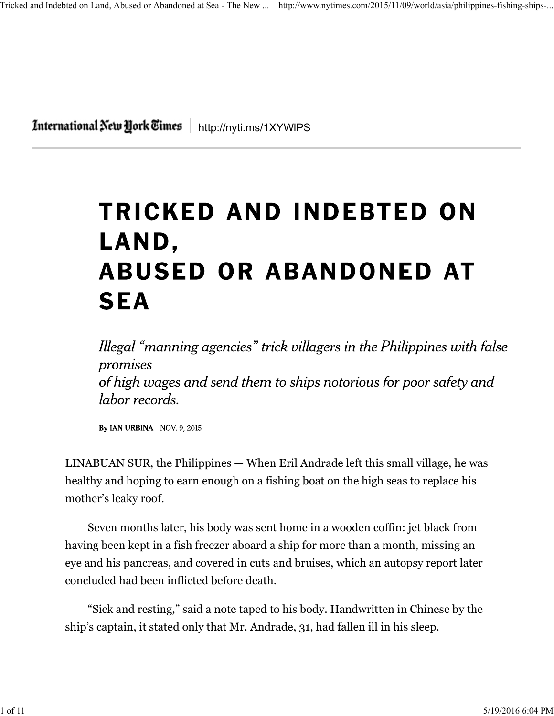International New Hork Times http://nyti.ms/1XYWlPS

# **TRICKED AND INDEBTED ON** LAND, **ABUSED OR ABANDONED AT SEA**

Illegal "manning agencies" trick villagers in the Philippines with false promises of high wages and send them to ships notorious for poor safety and labor records.

By IAN URBINA NOV. 9, 2015

LINABUAN SUR, the Philippines — When Eril Andrade left this small village, he was healthy and hoping to earn enough on a fishing boat on the high seas to replace his mother's leaky roof.

Seven months later, his body was sent home in a wooden coffin: jet black from having been kept in a fish freezer aboard a ship for more than a month, missing an eye and his pancreas, and covered in cuts and bruises, which an autopsy report later concluded had been inflicted before death. healthy and hoping to earn enough on a fishing boat on the high seas to replace his<br>mother's leaky roof.<br>Seven months later, his body was sent home in a wooden coffin: jet black from<br>having been kept in a fish freezer aboa

"Sick and resting," said a note taped to his body. Handwritten in Chinese by the ship's captain, it stated only that Mr. Andrade, 31, had fallen ill in his sleep.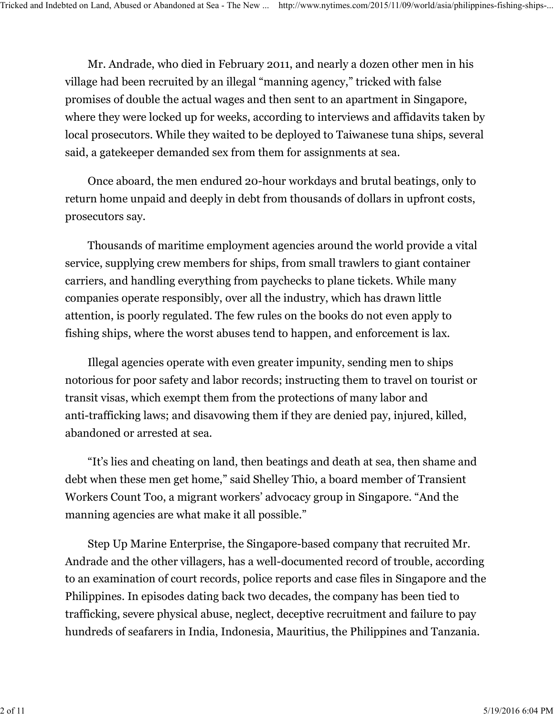Mr. Andrade, who died in February 2011, and nearly a dozen other men in his village had been recruited by an illegal "manning agency," tricked with false promises of double the actual wages and then sent to an apartment in Singapore, where they were locked up for weeks, according to interviews and affidavits taken by local prosecutors. While they waited to be deployed to Taiwanese tuna ships, several said, a gatekeeper demanded sex from them for assignments at sea.

Once aboard, the men endured 20-hour workdays and brutal beatings, only to return home unpaid and deeply in debt from thousands of dollars in upfront costs, prosecutors say.

Thousands of maritime employment agencies around the world provide a vital service, supplying crew members for ships, from small trawlers to giant container carriers, and handling everything from paychecks to plane tickets. While many companies operate responsibly, over all the industry, which has drawn little attention, is poorly regulated. The few rules on the books do not even apply to fishing ships, where the worst abuses tend to happen, and enforcement is lax.

Illegal agencies operate with even greater impunity, sending men to ships notorious for poor safety and labor records; instructing them to travel on tourist or transit visas, which exempt them from the protections of many labor and anti-trafficking laws; and disavowing them if they are denied pay, injured, killed, abandoned or arrested at sea.

"It's lies and cheating on land, then beatings and death at sea, then shame and debt when these men get home," said Shelley Thio, a board member of Transient Workers Count Too, a migrant workers' advocacy group in Singapore. "And the manning agencies are what make it all possible."

Step Up Marine Enterprise, the Singapore-based company that recruited Mr. Andrade and the other villagers, has a well-documented record of trouble, according to an examination of court records, police reports and case files in Singapore and the Philippines. In episodes dating back two decades, the company has been tied to trafficking, severe physical abuse, neglect, deceptive recruitment and failure to pay hundreds of seafarers in India, Indonesia, Mauritius, the Philippines and Tanzania. debt when these men get home," said Shelley Thio, a board member of Transient<br>Workers Count Too, a migrant workers' advocacy group in Singapore. "And the<br>manning agencies are what make it all possible."<br>Step Up Marine Ente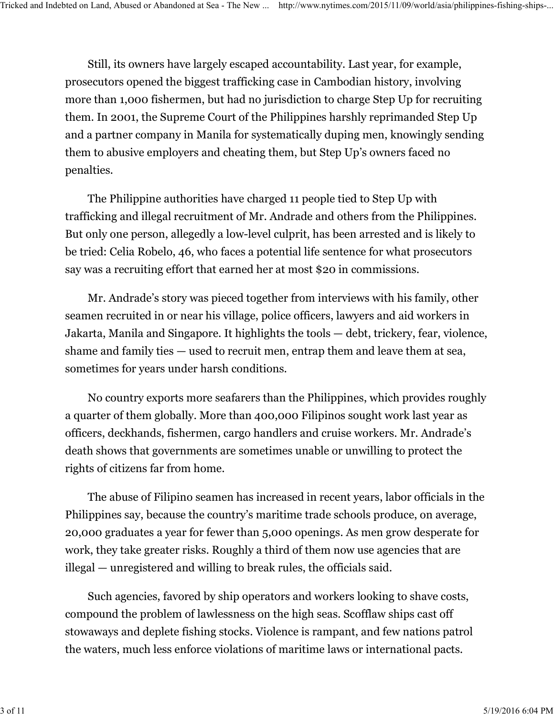Still, its owners have largely escaped accountability. Last year, for example, prosecutors opened the biggest trafficking case in Cambodian history, involving more than 1,000 fishermen, but had no jurisdiction to charge Step Up for recruiting them. In 2001, the Supreme Court of the Philippines harshly reprimanded Step Up and a partner company in Manila for systematically duping men, knowingly sending them to abusive employers and cheating them, but Step Up's owners faced no penalties.

The Philippine authorities have charged 11 people tied to Step Up with trafficking and illegal recruitment of Mr. Andrade and others from the Philippines. But only one person, allegedly a low-level culprit, has been arrested and is likely to be tried: Celia Robelo, 46, who faces a potential life sentence for what prosecutors say was a recruiting effort that earned her at most \$20 in commissions.

Mr. Andrade's story was pieced together from interviews with his family, other seamen recruited in or near his village, police officers, lawyers and aid workers in Jakarta, Manila and Singapore. It highlights the tools — debt, trickery, fear, violence, shame and family ties — used to recruit men, entrap them and leave them at sea, sometimes for years under harsh conditions.

No country exports more seafarers than the Philippines, which provides roughly a quarter of them globally. More than 400,000 Filipinos sought work last year as officers, deckhands, fishermen, cargo handlers and cruise workers. Mr. Andrade's death shows that governments are sometimes unable or unwilling to protect the rights of citizens far from home.

The abuse of Filipino seamen has increased in recent years, labor officials in the Philippines say, because the country's maritime trade schools produce, on average, 20,000 graduates a year for fewer than 5,000 openings. As men grow desperate for work, they take greater risks. Roughly a third of them now use agencies that are illegal — unregistered and willing to break rules, the officials said. The abuse of Filipino seamen has increased in recent years, labor officials in the Philippines say, because the country's maritime trade schools produce, on average, 20,000 graduates a year for fewer than 5,000 openings.

Such agencies, favored by ship operators and workers looking to shave costs, compound the problem of lawlessness on the high seas. Scofflaw ships cast off stowaways and deplete fishing stocks. Violence is rampant, and few nations patrol the waters, much less enforce violations of maritime laws or international pacts.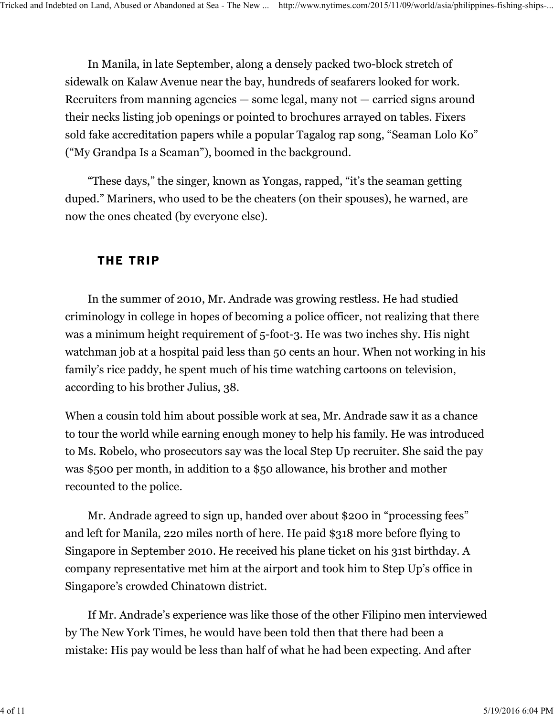In Manila, in late September, along a densely packed two-block stretch of sidewalk on Kalaw Avenue near the bay, hundreds of seafarers looked for work. Recruiters from manning agencies — some legal, many not — carried signs around their necks listing job openings or pointed to brochures arrayed on tables. Fixers sold fake accreditation papers while a popular Tagalog rap song, "Seaman Lolo Ko" ("My Grandpa Is a Seaman"), boomed in the background.

"These days," the singer, known as Yongas, rapped, "it's the seaman getting duped." Mariners, who used to be the cheaters (on their spouses), he warned, are now the ones cheated (by everyone else).

#### **THE TRIP**

In the summer of 2010, Mr. Andrade was growing restless. He had studied criminology in college in hopes of becoming a police officer, not realizing that there was a minimum height requirement of 5-foot-3. He was two inches shy. His night watchman job at a hospital paid less than 50 cents an hour. When not working in his family's rice paddy, he spent much of his time watching cartoons on television, according to his brother Julius, 38.

When a cousin told him about possible work at sea, Mr. Andrade saw it as a chance to tour the world while earning enough money to help his family. He was introduced to Ms. Robelo, who prosecutors say was the local Step Up recruiter. She said the pay was \$500 per month, in addition to a \$50 allowance, his brother and mother recounted to the police.

Mr. Andrade agreed to sign up, handed over about \$200 in "processing fees" and left for Manila, 220 miles north of here. He paid \$318 more before flying to Singapore in September 2010. He received his plane ticket on his 31st birthday. A company representative met him at the airport and took him to Step Up's office in Singapore's crowded Chinatown district. recounted to the police.<br>
Mr. Andrade agreed to sign up, handed over about \$200 in "processing fees"<br>
and left for Manila, 220 miles north of here. He paid \$318 more before flying to<br>
Singapore in September 2010. He receiv

If Mr. Andrade's experience was like those of the other Filipino men interviewed by The New York Times, he would have been told then that there had been a mistake: His pay would be less than half of what he had been expecting. And after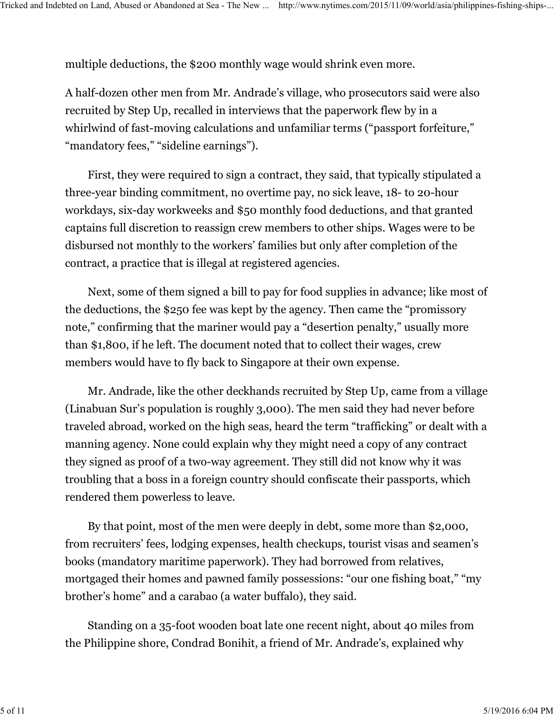multiple deductions, the \$200 monthly wage would shrink even more.

A half-dozen other men from Mr. Andrade's village, who prosecutors said were also recruited by Step Up, recalled in interviews that the paperwork flew by in a whirlwind of fast-moving calculations and unfamiliar terms ("passport forfeiture," "mandatory fees," "sideline earnings").

First, they were required to sign a contract, they said, that typically stipulated a three-year binding commitment, no overtime pay, no sick leave, 18- to 20-hour workdays, six-day workweeks and \$50 monthly food deductions, and that granted captains full discretion to reassign crew members to other ships. Wages were to be disbursed not monthly to the workers' families but only after completion of the contract, a practice that is illegal at registered agencies.

Next, some of them signed a bill to pay for food supplies in advance; like most of the deductions, the \$250 fee was kept by the agency. Then came the "promissory note," confirming that the mariner would pay a "desertion penalty," usually more than \$1,800, if he left. The document noted that to collect their wages, crew members would have to fly back to Singapore at their own expense.

Mr. Andrade, like the other deckhands recruited by Step Up, came from a village (Linabuan Sur's population is roughly 3,000). The men said they had never before traveled abroad, worked on the high seas, heard the term "trafficking" or dealt with a manning agency. None could explain why they might need a copy of any contract they signed as proof of a two-way agreement. They still did not know why it was troubling that a boss in a foreign country should confiscate their passports, which rendered them powerless to leave.

By that point, most of the men were deeply in debt, some more than \$2,000, from recruiters' fees, lodging expenses, health checkups, tourist visas and seamen's books (mandatory maritime paperwork). They had borrowed from relatives, mortgaged their homes and pawned family possessions: "our one fishing boat," "my brother's home" and a carabao (a water buffalo), they said. troubling that a boss in a foreign country should confiscate their passports, which<br>rendered them powerless to leave.<br>By that point, most of the men were deeply in debt, some more than \$2,000,<br>from recruiters' fees, lodgin

Standing on a 35-foot wooden boat late one recent night, about 40 miles from the Philippine shore, Condrad Bonihit, a friend of Mr. Andrade's, explained why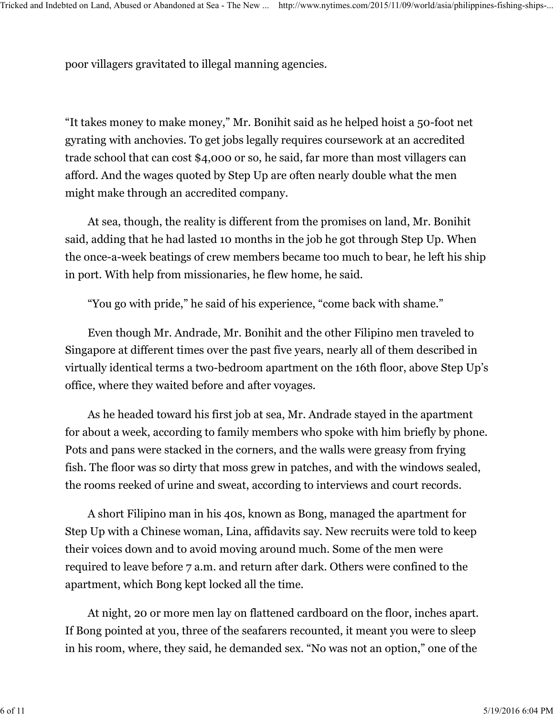poor villagers gravitated to illegal manning agencies.

"It takes money to make money," Mr. Bonihit said as he helped hoist a 50-foot net gyrating with anchovies. To get jobs legally requires coursework at an accredited trade school that can cost \$4,000 or so, he said, far more than most villagers can afford. And the wages quoted by Step Up are often nearly double what the men might make through an accredited company.

At sea, though, the reality is different from the promises on land, Mr. Bonihit said, adding that he had lasted 10 months in the job he got through Step Up. When the once-a-week beatings of crew members became too much to bear, he left his ship in port. With help from missionaries, he flew home, he said.

"You go with pride," he said of his experience, "come back with shame."

Even though Mr. Andrade, Mr. Bonihit and the other Filipino men traveled to Singapore at different times over the past five years, nearly all of them described in virtually identical terms a two-bedroom apartment on the 16th floor, above Step Up's office, where they waited before and after voyages.

As he headed toward his first job at sea, Mr. Andrade stayed in the apartment for about a week, according to family members who spoke with him briefly by phone. Pots and pans were stacked in the corners, and the walls were greasy from frying fish. The floor was so dirty that moss grew in patches, and with the windows sealed, the rooms reeked of urine and sweat, according to interviews and court records.

A short Filipino man in his 40s, known as Bong, managed the apartment for Step Up with a Chinese woman, Lina, affidavits say. New recruits were told to keep their voices down and to avoid moving around much. Some of the men were required to leave before 7 a.m. and return after dark. Others were confined to the apartment, which Bong kept locked all the time. the rooms reeked of urine and sweat, according to interviews and court records.<br>
A short Filipino man in his 40s, known as Bong, managed the apartment for<br>
Step Up with a Chinese woman, Lina, affidavits say. New recruits w

At night, 20 or more men lay on flattened cardboard on the floor, inches apart. If Bong pointed at you, three of the seafarers recounted, it meant you were to sleep in his room, where, they said, he demanded sex. "No was not an option," one of the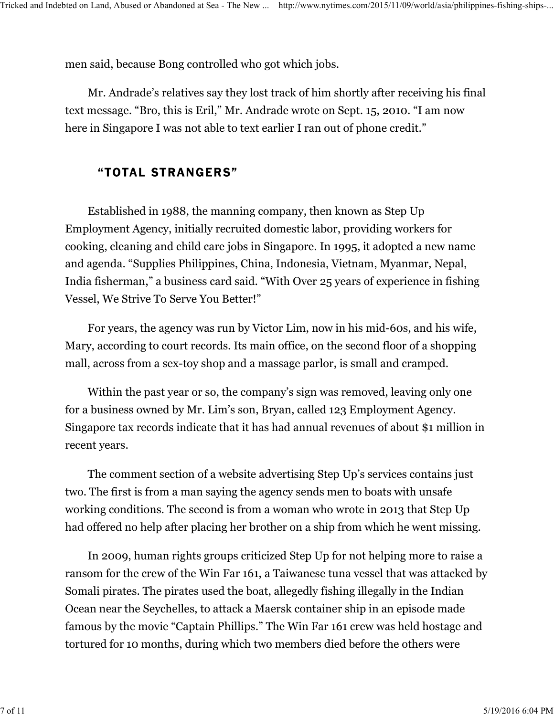men said, because Bong controlled who got which jobs.

Mr. Andrade's relatives say they lost track of him shortly after receiving his final text message. "Bro, this is Eril," Mr. Andrade wrote on Sept. 15, 2010. "I am now here in Singapore I was not able to text earlier I ran out of phone credit."

#### "TOTAL STRANGERS"

Established in 1988, the manning company, then known as Step Up Employment Agency, initially recruited domestic labor, providing workers for cooking, cleaning and child care jobs in Singapore. In 1995, it adopted a new name and agenda. "Supplies Philippines, China, Indonesia, Vietnam, Myanmar, Nepal, India fisherman," a business card said. "With Over 25 years of experience in fishing Vessel, We Strive To Serve You Better!"

For years, the agency was run by Victor Lim, now in his mid-60s, and his wife, Mary, according to court records. Its main office, on the second floor of a shopping mall, across from a sex-toy shop and a massage parlor, is small and cramped.

Within the past year or so, the company's sign was removed, leaving only one for a business owned by Mr. Lim's son, Bryan, called 123 Employment Agency. Singapore tax records indicate that it has had annual revenues of about \$1 million in recent years.

The comment section of a website advertising Step Up's services contains just two. The first is from a man saying the agency sends men to boats with unsafe working conditions. The second is from a woman who wrote in 2013 that Step Up had offered no help after placing her brother on a ship from which he went missing.

In 2009, human rights groups criticized Step Up for not helping more to raise a ransom for the crew of the Win Far 161, a Taiwanese tuna vessel that was attacked by Somali pirates. The pirates used the boat, allegedly fishing illegally in the Indian Ocean near the Seychelles, to attack a Maersk container ship in an episode made famous by the movie "Captain Phillips." The Win Far 161 crew was held hostage and tortured for 10 months, during which two members died before the others were The columnent section of a website divertising otep by services contains just<br>two. The first is from a man saying the agency sends men to boats with unsafe<br>working conditions. The second is from a woman who wrote in 2013 t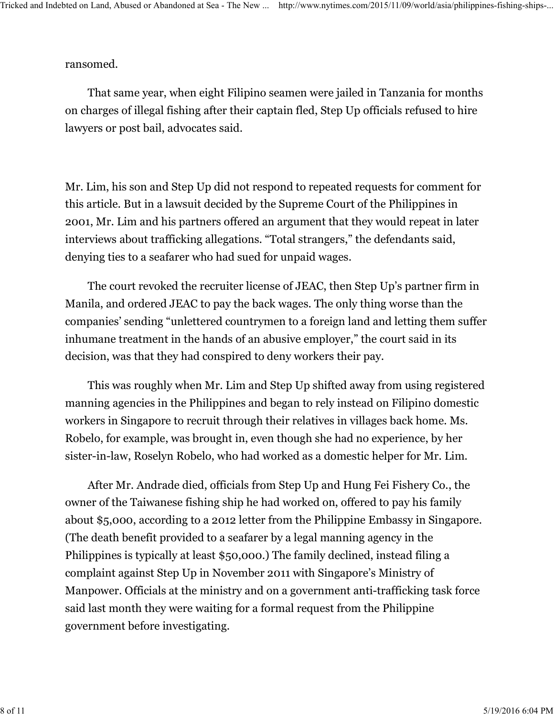ransomed.

That same year, when eight Filipino seamen were jailed in Tanzania for months on charges of illegal fishing after their captain fled, Step Up officials refused to hire lawyers or post bail, advocates said.

Mr. Lim, his son and Step Up did not respond to repeated requests for comment for this article. But in a lawsuit decided by the Supreme Court of the Philippines in 2001, Mr. Lim and his partners offered an argument that they would repeat in later interviews about trafficking allegations. "Total strangers," the defendants said, denying ties to a seafarer who had sued for unpaid wages.

The court revoked the recruiter license of JEAC, then Step Up's partner firm in Manila, and ordered JEAC to pay the back wages. The only thing worse than the companies' sending "unlettered countrymen to a foreign land and letting them suffer inhumane treatment in the hands of an abusive employer," the court said in its decision, was that they had conspired to deny workers their pay.

This was roughly when Mr. Lim and Step Up shifted away from using registered manning agencies in the Philippines and began to rely instead on Filipino domestic workers in Singapore to recruit through their relatives in villages back home. Ms. Robelo, for example, was brought in, even though she had no experience, by her sister-in-law, Roselyn Robelo, who had worked as a domestic helper for Mr. Lim.

After Mr. Andrade died, officials from Step Up and Hung Fei Fishery Co., the owner of the Taiwanese fishing ship he had worked on, offered to pay his family about \$5,000, according to a 2012 letter from the Philippine Embassy in Singapore. (The death benefit provided to a seafarer by a legal manning agency in the Philippines is typically at least \$50,000.) The family declined, instead filing a complaint against Step Up in November 2011 with Singapore's Ministry of Manpower. Officials at the ministry and on a government anti-trafficking task force said last month they were waiting for a formal request from the Philippine government before investigating. After Mr. Andrade died, officials from Step Up and Hung Fei Fishery Co., the<br>owner of the Taiwanese fishing ship he had worked on, offered to pay his family<br>about \$5,000, according to a 2012 letter from the Philippine Emb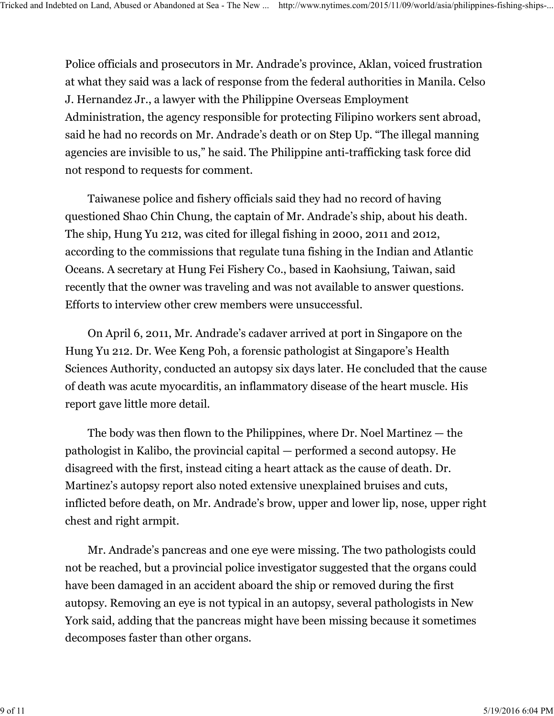Police officials and prosecutors in Mr. Andrade's province, Aklan, voiced frustration at what they said was a lack of response from the federal authorities in Manila. Celso J. Hernandez Jr., a lawyer with the Philippine Overseas Employment Administration, the agency responsible for protecting Filipino workers sent abroad, said he had no records on Mr. Andrade's death or on Step Up. "The illegal manning agencies are invisible to us," he said. The Philippine anti-trafficking task force did not respond to requests for comment.

Taiwanese police and fishery officials said they had no record of having questioned Shao Chin Chung, the captain of Mr. Andrade's ship, about his death. The ship, Hung Yu 212, was cited for illegal fishing in 2000, 2011 and 2012, according to the commissions that regulate tuna fishing in the Indian and Atlantic Oceans. A secretary at Hung Fei Fishery Co., based in Kaohsiung, Taiwan, said recently that the owner was traveling and was not available to answer questions. Efforts to interview other crew members were unsuccessful.

On April 6, 2011, Mr. Andrade's cadaver arrived at port in Singapore on the Hung Yu 212. Dr. Wee Keng Poh, a forensic pathologist at Singapore's Health Sciences Authority, conducted an autopsy six days later. He concluded that the cause of death was acute myocarditis, an inflammatory disease of the heart muscle. His report gave little more detail.

The body was then flown to the Philippines, where Dr. Noel Martinez — the pathologist in Kalibo, the provincial capital — performed a second autopsy. He disagreed with the first, instead citing a heart attack as the cause of death. Dr. Martinez's autopsy report also noted extensive unexplained bruises and cuts, inflicted before death, on Mr. Andrade's brow, upper and lower lip, nose, upper right chest and right armpit.

Mr. Andrade's pancreas and one eye were missing. The two pathologists could not be reached, but a provincial police investigator suggested that the organs could have been damaged in an accident aboard the ship or removed during the first autopsy. Removing an eye is not typical in an autopsy, several pathologists in New York said, adding that the pancreas might have been missing because it sometimes decomposes faster than other organs. Martinez's autopsy report also noted extensive unexplained bruises and cuts,<br>inflicted before death, on Mr. Andrade's brow, upper and lower lip, nose, upper right<br>chest and right armpit.<br>Mr. Andrade's pancreas and one eye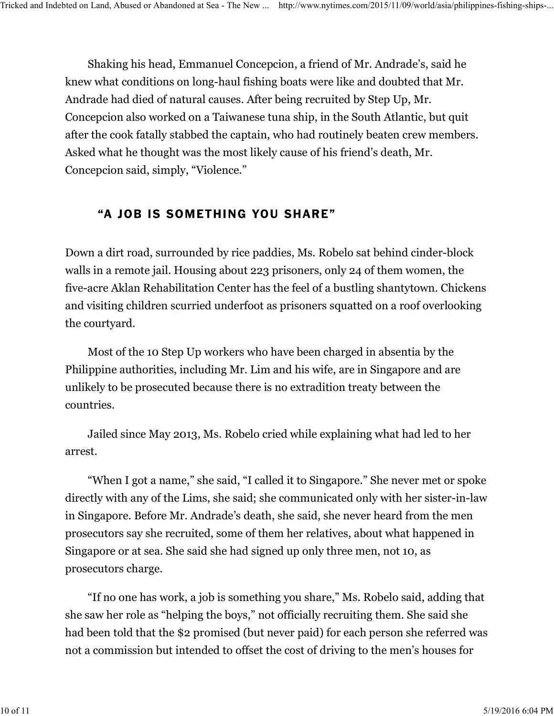Shaking his head, Emmanuel Concepcion, a friend of Mr. Andrade's, said he knew what conditions on long-haul fishing boats were like and doubted that Mr. Andrade had died of natural causes. After being recruited by Step Up, Mr. Concepcion also worked on a Taiwanese tuna ship, in the South Atlantic, but quit after the cook fatally stabbed the captain, who had routinely beaten crew members. Asked what he thought was the most likely cause of his friend's death, Mr. Concepcion said, simply, "Violence."

#### "A JOB IS SOMETHING YOU SHARE"

Down a dirt road, surrounded by rice paddies, Ms. Robelo sat behind cinder-block walls in a remote jail. Housing about 223 prisoners, only 24 of them women, the five-acre Aklan Rehabilitation Center has the feel of a bustling shantytown. Chickens and visiting children scurried underfoot as prisoners squatted on a roof overlooking the courtyard.

Most of the 10 Step Up workers who have been charged in absentia by the Philippine authorities, including Mr. Lim and his wife, are in Singapore and are unlikely to be prosecuted because there is no extradition treaty between the countries.

Jailed since May 2013, Ms. Robelo cried while explaining what had led to her arrest.

"When I got a name," she said, "I called it to Singapore." She never met or spoke directly with any of the Lims, she said; she communicated only with her sister-in-law in Singapore. Before Mr. Andrade's death, she said, she never heard from the men prosecutors say she recruited, some of them her relatives, about what happened in Singapore or at sea. She said she had signed up only three men, not 10, as prosecutors charge. "When I got a name," she said, "I called it to Singapore." She never met or spoke<br>directly with any of the Lims, she said; she communicated only with her sister-in-law<br>in Singapore. Before Mr. Andrade's death, she said, sh

"If no one has work, a job is something you share," Ms. Robelo said, adding that she saw her role as "helping the boys," not officially recruiting them. She said she had been told that the \$2 promised (but never paid) for each person she referred was not a commission but intended to offset the cost of driving to the men's houses for